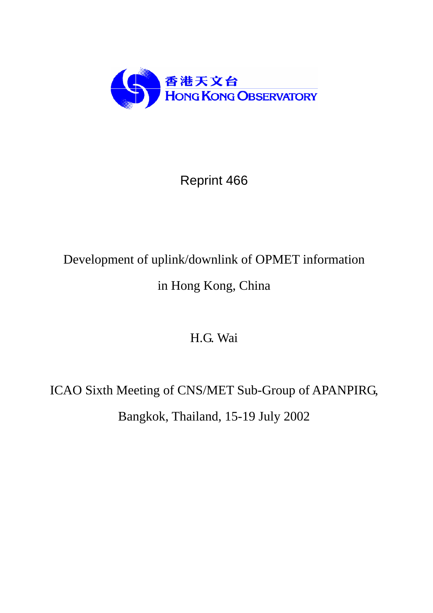

# Reprint 466

# Development of uplink/downlink of OPMET information in Hong Kong, China

# H.G. Wai

# ICAO Sixth Meeting of CNS/MET Sub-Group of APANPIRG, Bangkok, Thailand, 15-19 July 2002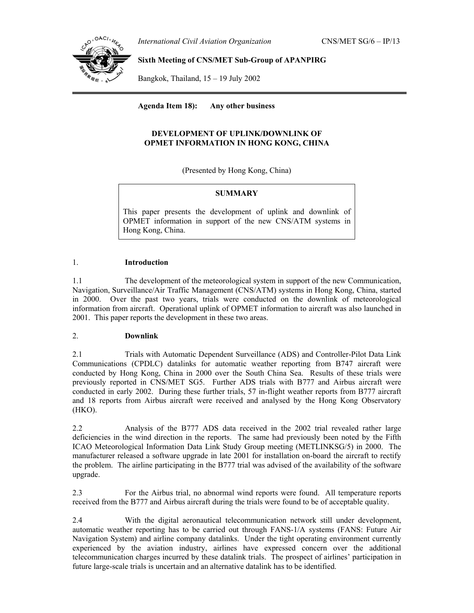*International Civil Aviation Organization* CNS/MET SG/6 – IP/13



## **Sixth Meeting of CNS/MET Sub-Group of APANPIRG**

Bangkok, Thailand, 15 – 19 July 2002

**Agenda Item 18): Any other business**

### **DEVELOPMENT OF UPLINK/DOWNLINK OF OPMET INFORMATION IN HONG KONG, CHINA**

(Presented by Hong Kong, China)

### **SUMMARY**

This paper presents the development of uplink and downlink of OPMET information in support of the new CNS/ATM systems in Hong Kong, China.

#### 1. **Introduction**

1.1 The development of the meteorological system in support of the new Communication, Navigation, Surveillance/Air Traffic Management (CNS/ATM) systems in Hong Kong, China, started in 2000. Over the past two years, trials were conducted on the downlink of meteorological information from aircraft. Operational uplink of OPMET information to aircraft was also launched in 2001. This paper reports the development in these two areas.

### 2. **Downlink**

2.1 Trials with Automatic Dependent Surveillance (ADS) and Controller-Pilot Data Link Communications (CPDLC) datalinks for automatic weather reporting from B747 aircraft were conducted by Hong Kong, China in 2000 over the South China Sea. Results of these trials were previously reported in CNS/MET SG5. Further ADS trials with B777 and Airbus aircraft were conducted in early 2002. During these further trials, 57 in-flight weather reports from B777 aircraft and 18 reports from Airbus aircraft were received and analysed by the Hong Kong Observatory (HKO).

2.2 Analysis of the B777 ADS data received in the 2002 trial revealed rather large deficiencies in the wind direction in the reports. The same had previously been noted by the Fifth ICAO Meteorological Information Data Link Study Group meeting (METLINKSG/5) in 2000. The manufacturer released a software upgrade in late 2001 for installation on-board the aircraft to rectify the problem. The airline participating in the B777 trial was advised of the availability of the software upgrade.

2.3 For the Airbus trial, no abnormal wind reports were found. All temperature reports received from the B777 and Airbus aircraft during the trials were found to be of acceptable quality.

2.4 With the digital aeronautical telecommunication network still under development, automatic weather reporting has to be carried out through FANS-1/A systems (FANS: Future Air Navigation System) and airline company datalinks. Under the tight operating environment currently experienced by the aviation industry, airlines have expressed concern over the additional telecommunication charges incurred by these datalink trials. The prospect of airlines' participation in future large-scale trials is uncertain and an alternative datalink has to be identified.